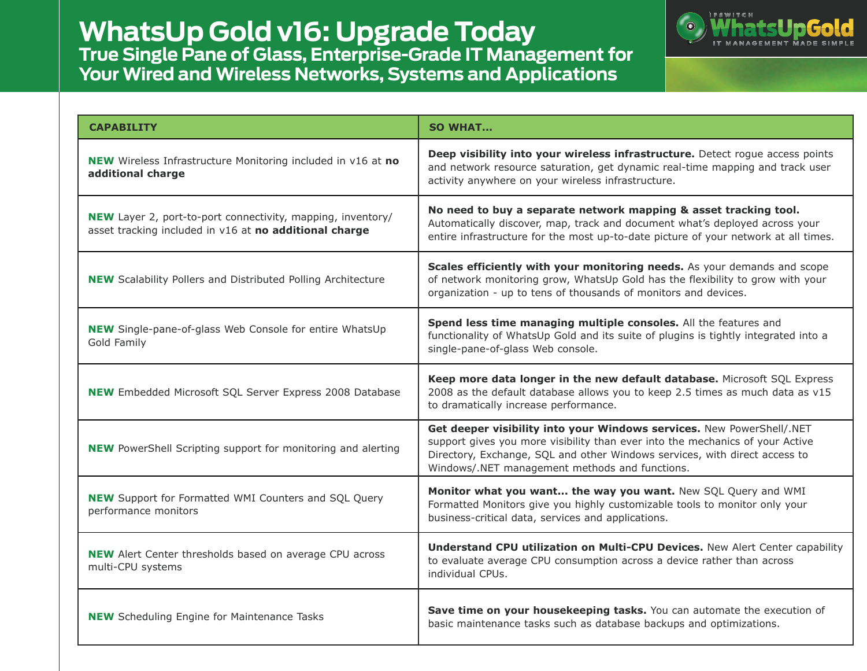**WhatsUp Gold v16: Upgrade Today True Single Pane of Glass, Enterprise-Grade IT Management for Your Wired and Wireless Networks, Systems and Applications**



| <b>CAPABILITY</b>                                                                                                            | <b>SO WHAT</b>                                                                                                                                                                                                                                                                         |  |
|------------------------------------------------------------------------------------------------------------------------------|----------------------------------------------------------------------------------------------------------------------------------------------------------------------------------------------------------------------------------------------------------------------------------------|--|
| <b>NEW</b> Wireless Infrastructure Monitoring included in v16 at no<br>additional charge                                     | Deep visibility into your wireless infrastructure. Detect rogue access points<br>and network resource saturation, get dynamic real-time mapping and track user<br>activity anywhere on your wireless infrastructure.                                                                   |  |
| <b>NEW</b> Layer 2, port-to-port connectivity, mapping, inventory/<br>asset tracking included in v16 at no additional charge | No need to buy a separate network mapping & asset tracking tool.<br>Automatically discover, map, track and document what's deployed across your<br>entire infrastructure for the most up-to-date picture of your network at all times.                                                 |  |
| <b>NEW</b> Scalability Pollers and Distributed Polling Architecture                                                          | Scales efficiently with your monitoring needs. As your demands and scope<br>of network monitoring grow, WhatsUp Gold has the flexibility to grow with your<br>organization - up to tens of thousands of monitors and devices.                                                          |  |
| <b>NEW</b> Single-pane-of-glass Web Console for entire WhatsUp<br>Gold Family                                                | Spend less time managing multiple consoles. All the features and<br>functionality of WhatsUp Gold and its suite of plugins is tightly integrated into a<br>single-pane-of-glass Web console.                                                                                           |  |
| <b>NEW</b> Embedded Microsoft SQL Server Express 2008 Database                                                               | Keep more data longer in the new default database. Microsoft SQL Express<br>2008 as the default database allows you to keep 2.5 times as much data as v15<br>to dramatically increase performance.                                                                                     |  |
| <b>NEW</b> PowerShell Scripting support for monitoring and alerting                                                          | Get deeper visibility into your Windows services. New PowerShell/.NET<br>support gives you more visibility than ever into the mechanics of your Active<br>Directory, Exchange, SQL and other Windows services, with direct access to<br>Windows/.NET management methods and functions. |  |
| <b>NEW</b> Support for Formatted WMI Counters and SQL Query<br>performance monitors                                          | Monitor what you want the way you want. New SQL Query and WMI<br>Formatted Monitors give you highly customizable tools to monitor only your<br>business-critical data, services and applications.                                                                                      |  |
| <b>NEW</b> Alert Center thresholds based on average CPU across<br>multi-CPU systems                                          | Understand CPU utilization on Multi-CPU Devices. New Alert Center capability<br>to evaluate average CPU consumption across a device rather than across<br>individual CPUs.                                                                                                             |  |
| <b>NEW</b> Scheduling Engine for Maintenance Tasks                                                                           | Save time on your housekeeping tasks. You can automate the execution of<br>basic maintenance tasks such as database backups and optimizations.                                                                                                                                         |  |